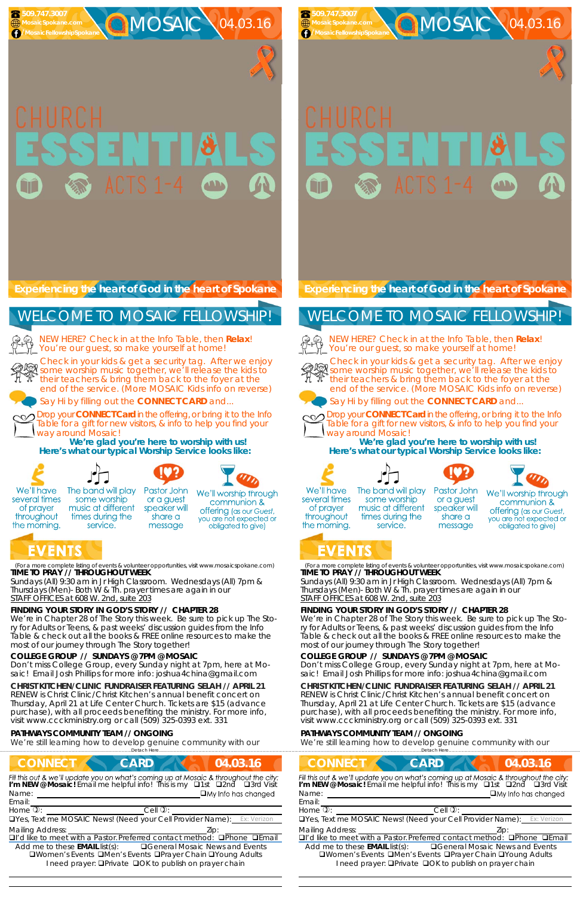

MOSAIC 04.03.16



MOSAIC 04.03.16

#### (For a more complete listing of events & volunteer opportunities, visit www.mosaicspokane.com) **TIME TO PRAY // THROUGHOUT WEEK**

*Sundays* (All) 9:30 am in Jr High Classroom. *Wednesdays* (All) 7pm & *Thursdays* (Men)- Both W & Th. prayer times are again in our *STAFF OFFICES at 608 W. 2nd, suite 203*

# **FINDING YOUR STORY IN GOD'S STORY // CHAPTER 28**

We're in Chapter 28 of The Story this week. Be sure to pick up The Story for Adults or Teens, & past weeks' discussion guides from the Info Table & check out all the books & FREE online resources to make the most of our journey through The Story together!

We're still learning how to develop genuine community with our ....<br>Detach Here...

#### **COLLEGE GROUP // SUNDAYS @ 7PM @ MOSAIC**

NEW HERE? Check in at the Info Table, then **Relax**! You're our guest, so make yourself at home!

Don't miss College Group, every Sunday night at 7pm, here at Mosaic! Email Josh Phillips for more info: joshua4china@gmail.com

#### **CHRIST KITCHEN/CLINIC FUNDRAISER FEATURING SELAH // APRIL 21**

RENEW is Christ Clinic/Christ Kitchen's annual benefit concert on Thursday, April 21 at Life Center Church. Tickets are \$15 (advance purchase), with all proceeds benefiting the ministry. For more info, visit www.ccckministry.org or call (509) 325-0393 ext. 331

 **509.747.3007 MosaicSpokane.com** */MosaicFellowshipSpokan* 

### **PATHWAYS COMMUNITY TEAM // ONGOING**

**Experiencing the heart of God in the heart of Spokane** 

Check in your kids & get a security tag. After we enjoy some worship music together, we'll release the kids to their teachers & bring them back to the foyer at the end of the service. (More MOSAIC Kids info on reverse)



Say Hi by filling out the **CONNECT CARD** and...

Drop your **CONNECT Card** in the offering, or bring it to the Info Table for a gift for new visitors, & info to help you find your way around Mosaic!

| <b>CONNECT</b>                                                                                                                                                           | <b>CARD</b>                                                   | 04.03.16                   |
|--------------------------------------------------------------------------------------------------------------------------------------------------------------------------|---------------------------------------------------------------|----------------------------|
| Fill this out & we'll update you on what's coming up at Mosaic & throughout the city:<br>I'm NEW @ Mosaic! Email me helpful info! This is my <b>Q1st Q2nd Q3rd Visit</b> |                                                               |                            |
| Name:                                                                                                                                                                    |                                                               | $\Box$ My Info has changed |
| Email:                                                                                                                                                                   |                                                               |                            |
| Home $\overline{v}$ :                                                                                                                                                    | Cell $\mathbb{Q}$ :                                           |                            |
| <b>OYes, Text me MOSAIC News! (Need your Cell Provider Name):</b> Ex: Verizon                                                                                            |                                                               |                            |
| <b>Mailing Address:</b>                                                                                                                                                  |                                                               | Zip:                       |
| □I'd like to meet with a Pastor. Preferred contact method: □Phone □Email                                                                                                 |                                                               |                            |
| Add me to these $EMAIL$ list(s): $\Box$ General Mosaic News and Events<br>□Women's Events □Men's Events □Prayer Chain □Young Adults                                      | I need prayer: <b>QPrivate QOK</b> to publish on prayer chain |                            |

**We're glad you're here to worship with us! Here's what our typical Worship Service looks like:** 



several times

of prayer

throughout

the morning.

**EVENTS** 

NEW HERE? Check in at the Info Table, then **Relax**! You're our guest, so make yourself at home!



# WELCOME TO MOSAIC FELLOWSHIP!







We'll worship through communion & **offering** (as our Guest, you are not expected or message obligated to give)

(For a more complete listing of events & volunteer opportunities, visit www.mosaicspokane.com) **TIME TO PRAY // THROUGHOUT WEEK** 

*Sundays* (All) 9:30 am in Jr High Classroom. *Wednesdays* (All) 7pm & *Thursdays* (Men)- Both W & Th. prayer times are again in our *STAFF OFFICES at 608 W. 2nd, suite 203*

## **FINDING YOUR STORY IN GOD'S STORY // CHAPTER 28**

We're in Chapter 28 of The Story this week. Be sure to pick up The Story for Adults or Teens, & past weeks' discussion guides from the Info Table & check out all the books & FREE online resources to make the most of our journey through The Story together!

#### **COLLEGE GROUP // SUNDAYS @ 7PM @ MOSAIC**

Don't miss College Group, every Sunday night at 7pm, here at Mosaic! Email Josh Phillips for more info: joshua4china@gmail.com

## **CHRIST KITCHEN/CLINIC FUNDRAISER FEATURING SELAH // APRIL 21**  RENEW is Christ Clinic/Christ Kitchen's annual benefit concert on

Thursday, April 21 at Life Center Church. Tickets are \$15 (advance purchase), with all proceeds benefiting the ministry. For more info, visit www.ccckministry.org or call (509) 325-0393 ext. 331

## **PATHWAYS COMMUNITY TEAM // ONGOING**

We're still learning how to develop genuine community with our ……………………….……………………………………………………….Detach Here……………………………………………..…………………………………

**Experiencing the heart of God in the heart of Spokane** 

Check in your kids & get a security tag. After we enjoy some worship music together, we'll release the kids to their teachers & bring them back to the foyer at the end of the service. (More MOSAIC Kids info on reverse)



Say Hi by filling out the **CONNECT CARD** and...



Drop your **CONNECT Card** in the offering, or bring it to the Info Table for a gift for new visitors, & info to help you find your way around Mosaic!

| <b>CONNECT</b><br><b>CARD</b><br>04.03.16                                                                                                                                                            |
|------------------------------------------------------------------------------------------------------------------------------------------------------------------------------------------------------|
| Fill this out & we'll update you on what's coming up at Mosaic & throughout the city:<br>I'm NEW @ Mosaic! Email me helpful info! This is my $\Box$ 1st $\Box$ 2nd $\Box$ 3rd Visit                  |
| $\Box$ My Info has changed<br>Name:                                                                                                                                                                  |
| Email:                                                                                                                                                                                               |
| Home $\overline{v}$ :<br>Cell $\mathbb{Q}$ :                                                                                                                                                         |
| <b>OYes, Text me MOSAIC News! (Need your Cell Provider Name):</b> Ex: Verizon                                                                                                                        |
| <b>Mailing Address:</b><br>Zip:                                                                                                                                                                      |
| $\Box$ I'd like to meet with a Pastor. Preferred contact method: $\Box$ Phone $\Box$ Email                                                                                                           |
| Add me to these $EMAIL$ list(s): $\Box$ General Mosaic News and Events<br>□Women's Events □Men's Events □Prayer Chain □Young Adults<br>I need prayer: <b>QPrivate QOK to publish on prayer chain</b> |

**We're glad you're here to worship with us! Here's what our typical Worship Service looks like:** 











We'll have several times of prayer throughout the morning.

 **509.747.3007 MosaicSpokane.com /MosaicFellowshipSpokane**

# WELCOME TO MOSAIC FELLOWSHIP!



The band will play some worship music at different times during the service.

Pastor John or a guest speaker will share a message

We'll worship through communion & **offering** (as our Guest, you are not expected or obligated to give)

# **EVENTS**